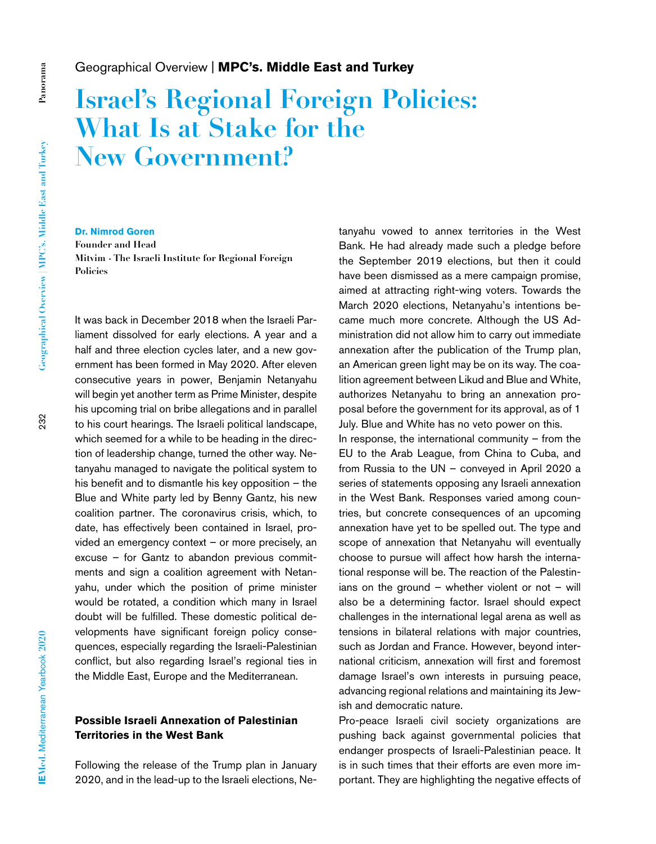### Geographical Overview | **MPC's. Middle East and Turkey**

# **Israel's Regional Foreign Policies: What Is at Stake for the New Government?**

232

**Panorama**

Panorama

## **Dr. Nimrod Goren**

**Founder and Head Mitvim - The Israeli Institute for Regional Foreign Policies**

It was back in December 2018 when the Israeli Parliament dissolved for early elections. A year and a half and three election cycles later, and a new government has been formed in May 2020. After eleven consecutive years in power, Benjamin Netanyahu will begin yet another term as Prime Minister, despite his upcoming trial on bribe allegations and in parallel to his court hearings. The Israeli political landscape, which seemed for a while to be heading in the direction of leadership change, turned the other way. Netanyahu managed to navigate the political system to his benefit and to dismantle his key opposition – the Blue and White party led by Benny Gantz, his new coalition partner. The coronavirus crisis, which, to date, has effectively been contained in Israel, provided an emergency context – or more precisely, an excuse – for Gantz to abandon previous commitments and sign a coalition agreement with Netanyahu, under which the position of prime minister would be rotated, a condition which many in Israel doubt will be fulfilled. These domestic political developments have significant foreign policy consequences, especially regarding the Israeli-Palestinian conflict, but also regarding Israel's regional ties in the Middle East, Europe and the Mediterranean.

#### **Possible Israeli Annexation of Palestinian Territories in the West Bank**

Following the release of the Trump plan in January 2020, and in the lead-up to the Israeli elections, Netanyahu vowed to annex territories in the West Bank. He had already made such a pledge before the September 2019 elections, but then it could have been dismissed as a mere campaign promise, aimed at attracting right-wing voters. Towards the March 2020 elections, Netanyahu's intentions became much more concrete. Although the US Administration did not allow him to carry out immediate annexation after the publication of the Trump plan, an American green light may be on its way. The coalition agreement between Likud and Blue and White, authorizes Netanyahu to bring an annexation proposal before the government for its approval, as of 1 July. Blue and White has no veto power on this. In response, the international community  $-$  from the

EU to the Arab League, from China to Cuba, and from Russia to the UN – conveyed in April 2020 a series of statements opposing any Israeli annexation in the West Bank. Responses varied among countries, but concrete consequences of an upcoming annexation have yet to be spelled out. The type and scope of annexation that Netanyahu will eventually choose to pursue will affect how harsh the international response will be. The reaction of the Palestinians on the ground – whether violent or not – will also be a determining factor. Israel should expect challenges in the international legal arena as well as tensions in bilateral relations with major countries, such as Jordan and France. However, beyond international criticism, annexation will first and foremost damage Israel's own interests in pursuing peace, advancing regional relations and maintaining its Jewish and democratic nature.

Pro-peace Israeli civil society organizations are pushing back against governmental policies that endanger prospects of Israeli-Palestinian peace. It is in such times that their efforts are even more important. They are highlighting the negative effects of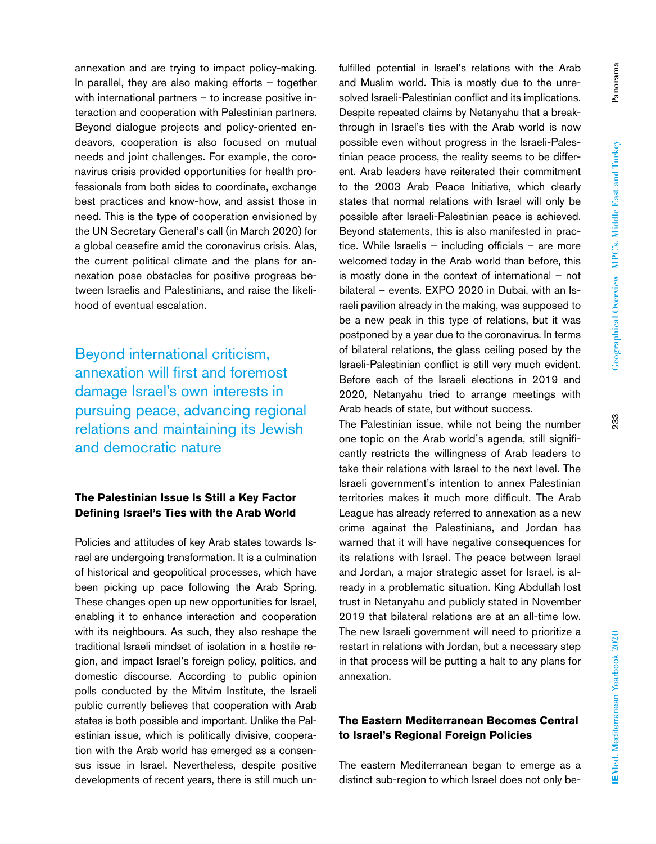annexation and are trying to impact policy-making. In parallel, they are also making efforts – together with international partners – to increase positive interaction and cooperation with Palestinian partners. Beyond dialogue projects and policy-oriented endeavors, cooperation is also focused on mutual needs and joint challenges. For example, the coronavirus crisis provided opportunities for health professionals from both sides to coordinate, exchange best practices and know-how, and assist those in need. This is the type of cooperation envisioned by the UN Secretary General's call (in March 2020) for a global ceasefire amid the coronavirus crisis. Alas, the current political climate and the plans for annexation pose obstacles for positive progress between Israelis and Palestinians, and raise the likelihood of eventual escalation.

Beyond international criticism, annexation will first and foremost damage Israel's own interests in pursuing peace, advancing regional relations and maintaining its Jewish and democratic nature

#### **The Palestinian Issue Is Still a Key Factor Defining Israel's Ties with the Arab World**

Policies and attitudes of key Arab states towards Israel are undergoing transformation. It is a culmination of historical and geopolitical processes, which have been picking up pace following the Arab Spring. These changes open up new opportunities for Israel, enabling it to enhance interaction and cooperation with its neighbours. As such, they also reshape the traditional Israeli mindset of isolation in a hostile region, and impact Israel's foreign policy, politics, and domestic discourse. According to public opinion polls conducted by the Mitvim Institute, the Israeli public currently believes that cooperation with Arab states is both possible and important. Unlike the Palestinian issue, which is politically divisive, cooperation with the Arab world has emerged as a consensus issue in Israel. Nevertheless, despite positive developments of recent years, there is still much unfulfilled potential in Israel's relations with the Arab and Muslim world. This is mostly due to the unresolved Israeli-Palestinian conflict and its implications. Despite repeated claims by Netanyahu that a breakthrough in Israel's ties with the Arab world is now possible even without progress in the Israeli-Palestinian peace process, the reality seems to be different. Arab leaders have reiterated their commitment to the 2003 Arab Peace Initiative, which clearly states that normal relations with Israel will only be possible after Israeli-Palestinian peace is achieved. Beyond statements, this is also manifested in practice. While Israelis – including officials – are more welcomed today in the Arab world than before, this is mostly done in the context of international – not bilateral – events. EXPO 2020 in Dubai, with an Israeli pavilion already in the making, was supposed to be a new peak in this type of relations, but it was postponed by a year due to the coronavirus. In terms of bilateral relations, the glass ceiling posed by the Israeli-Palestinian conflict is still very much evident. Before each of the Israeli elections in 2019 and 2020, Netanyahu tried to arrange meetings with Arab heads of state, but without success.

The Palestinian issue, while not being the number one topic on the Arab world's agenda, still significantly restricts the willingness of Arab leaders to take their relations with Israel to the next level. The Israeli government's intention to annex Palestinian territories makes it much more difficult. The Arab League has already referred to annexation as a new crime against the Palestinians, and Jordan has warned that it will have negative consequences for its relations with Israel. The peace between Israel and Jordan, a major strategic asset for Israel, is already in a problematic situation. King Abdullah lost trust in Netanyahu and publicly stated in November 2019 that bilateral relations are at an all-time low. The new Israeli government will need to prioritize a restart in relations with Jordan, but a necessary step in that process will be putting a halt to any plans for annexation.

#### **The Eastern Mediterranean Becomes Central to Israel's Regional Foreign Policies**

The eastern Mediterranean began to emerge as a distinct sub-region to which Israel does not only be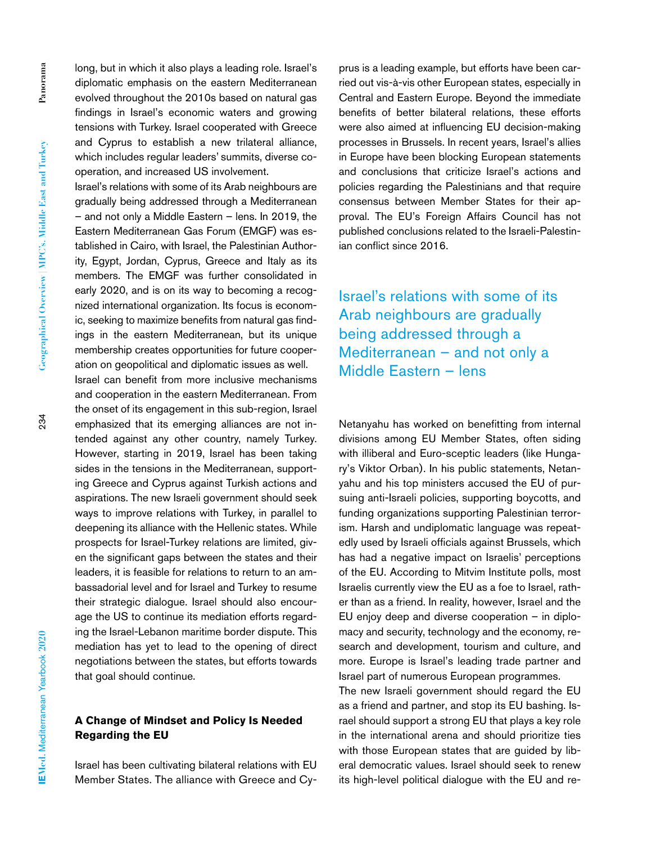long, but in which it also plays a leading role. Israel's diplomatic emphasis on the eastern Mediterranean evolved throughout the 2010s based on natural gas findings in Israel's economic waters and growing tensions with Turkey. Israel cooperated with Greece and Cyprus to establish a new trilateral alliance, which includes regular leaders' summits, diverse cooperation, and increased US involvement.

Israel's relations with some of its Arab neighbours are gradually being addressed through a Mediterranean – and not only a Middle Eastern – lens. In 2019, the Eastern Mediterranean Gas Forum (EMGF) was established in Cairo, with Israel, the Palestinian Authority, Egypt, Jordan, Cyprus, Greece and Italy as its members. The EMGF was further consolidated in early 2020, and is on its way to becoming a recognized international organization. Its focus is economic, seeking to maximize benefits from natural gas findings in the eastern Mediterranean, but its unique membership creates opportunities for future cooperation on geopolitical and diplomatic issues as well.

Israel can benefit from more inclusive mechanisms and cooperation in the eastern Mediterranean. From the onset of its engagement in this sub-region, Israel emphasized that its emerging alliances are not intended against any other country, namely Turkey. However, starting in 2019, Israel has been taking sides in the tensions in the Mediterranean, supporting Greece and Cyprus against Turkish actions and aspirations. The new Israeli government should seek ways to improve relations with Turkey, in parallel to deepening its alliance with the Hellenic states. While prospects for Israel-Turkey relations are limited, given the significant gaps between the states and their leaders, it is feasible for relations to return to an ambassadorial level and for Israel and Turkey to resume their strategic dialogue. Israel should also encourage the US to continue its mediation efforts regarding the Israel-Lebanon maritime border dispute. This mediation has yet to lead to the opening of direct negotiations between the states, but efforts towards that goal should continue.

#### **A Change of Mindset and Policy Is Needed Regarding the EU**

Israel has been cultivating bilateral relations with EU Member States. The alliance with Greece and Cyprus is a leading example, but efforts have been carried out vis-à-vis other European states, especially in Central and Eastern Europe. Beyond the immediate benefits of better bilateral relations, these efforts were also aimed at influencing EU decision-making processes in Brussels. In recent years, Israel's allies in Europe have been blocking European statements and conclusions that criticize Israel's actions and policies regarding the Palestinians and that require consensus between Member States for their approval. The EU's Foreign Affairs Council has not published conclusions related to the Israeli-Palestinian conflict since 2016.

Israel's relations with some of its Arab neighbours are gradually being addressed through a Mediterranean – and not only a Middle Eastern – lens

Netanyahu has worked on benefitting from internal divisions among EU Member States, often siding with illiberal and Euro-sceptic leaders (like Hungary's Viktor Orban). In his public statements, Netanyahu and his top ministers accused the EU of pursuing anti-Israeli policies, supporting boycotts, and funding organizations supporting Palestinian terrorism. Harsh and undiplomatic language was repeatedly used by Israeli officials against Brussels, which has had a negative impact on Israelis' perceptions of the EU. According to Mitvim Institute polls, most Israelis currently view the EU as a foe to Israel, rather than as a friend. In reality, however, Israel and the EU enjoy deep and diverse cooperation – in diplomacy and security, technology and the economy, research and development, tourism and culture, and more. Europe is Israel's leading trade partner and Israel part of numerous European programmes.

The new Israeli government should regard the EU as a friend and partner, and stop its EU bashing. Israel should support a strong EU that plays a key role in the international arena and should prioritize ties with those European states that are guided by liberal democratic values. Israel should seek to renew its high-level political dialogue with the EU and re